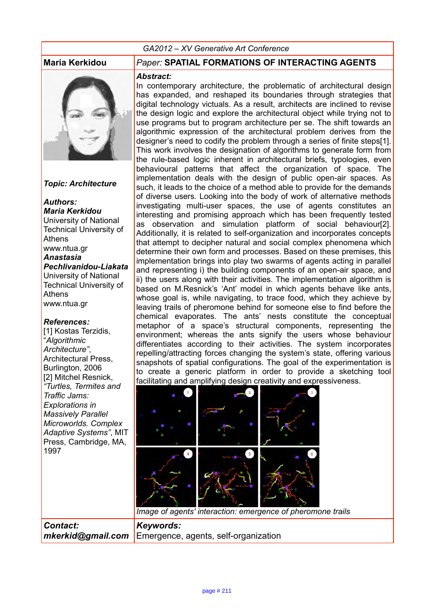#### *GA2012 – XV Generative Art Conference*



*Topic: Architecture*

#### *Authors: Maria Kerkidou*

University of National Technical University of Athens www.ntua.gr *Anastasia Pechlivanidou-Liakata* University of National Technical University of Athens www.ntua.gr

#### *References:*

*Contact:* 

[1] Kostas Terzidis, "*Algorithmic Architecture"*, Architectural Press, Burlington, 2006 [2] Mitchel Resnick, *"Turtles, Termites and Traffic Jams: Explorations in Massively Parallel Microworlds. Complex Adaptive Systems"*, MIT Press, Cambridge, MA, 1997

### **Maria Kerkidou** *Paper:* **SPATIAL FORMATIONS OF INTERACTING AGENTS**

#### *Abstract:*

In contemporary architecture, the problematic of architectural design has expanded, and reshaped its boundaries through strategies that digital technology victuals. As a result, architects are inclined to revise the design logic and explore the architectural object while trying not to use programs but to program architecture per se. The shift towards an algorithmic expression of the architectural problem derives from the designer's need to codify the problem through a series of finite steps[1]. This work involves the designation of algorithms to generate form from the rule-based logic inherent in architectural briefs, typologies, even behavioural patterns that affect the organization of space. The implementation deals with the design of public open-air spaces. As such, it leads to the choice of a method able to provide for the demands of diverse users. Looking into the body of work of alternative methods investigating multi-user spaces, the use of agents constitutes an interesting and promising approach which has been frequently tested as observation and simulation platform of social behaviour[2]. Additionally, it is related to self-organization and incorporates concepts that attempt to decipher natural and social complex phenomena which determine their own form and processes. Based on these premises, this implementation brings into play two swarms of agents acting in parallel and representing i) the building components of an open-air space, and ii) the users along with their activities. The implementation algorithm is based on M.Resnick's 'Ant' model in which agents behave like ants, whose goal is, while navigating, to trace food, which they achieve by leaving trails of pheromone behind for someone else to find before the chemical evaporates. The ants' nests constitute the conceptual metaphor of a space's structural components, representing the environment; whereas the ants signify the users whose behaviour differentiates according to their activities. The system incorporates repelling/attracting forces changing the system's state, offering various snapshots of spatial configurations. The goal of the experimentation is to create a generic platform in order to provide a sketching tool facilitating and amplifying design creativity and expressiveness.



*mkerkid@gmail.com* Emergence, agents, self-organization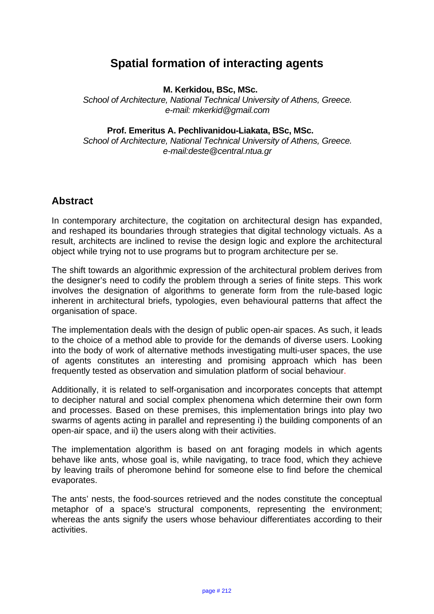# **Spatial formation of interacting agents**

**M. Kerkidou, BSc, MSc.** 

*School of Architecture, National Technical University of Athens, Greece. e-mail: mkerkid@gmail.com* 

**Prof. Emeritus A. Pechlivanidou-Liakata, BSc, MSc.** 

*School of Architecture, National Technical University of Athens, Greece. e-mail:deste@central.ntua.gr* 

# **Abstract**

In contemporary architecture, the cogitation on architectural design has expanded, and reshaped its boundaries through strategies that digital technology victuals. As a result, architects are inclined to revise the design logic and explore the architectural object while trying not to use programs but to program architecture per se.

The shift towards an algorithmic expression of the architectural problem derives from the designer's need to codify the problem through a series of finite steps. This work involves the designation of algorithms to generate form from the rule-based logic inherent in architectural briefs, typologies, even behavioural patterns that affect the organisation of space.

The implementation deals with the design of public open-air spaces. As such, it leads to the choice of a method able to provide for the demands of diverse users. Looking into the body of work of alternative methods investigating multi-user spaces, the use of agents constitutes an interesting and promising approach which has been frequently tested as observation and simulation platform of social behaviour.

Additionally, it is related to self-organisation and incorporates concepts that attempt to decipher natural and social complex phenomena which determine their own form and processes. Based on these premises, this implementation brings into play two swarms of agents acting in parallel and representing i) the building components of an open-air space, and ii) the users along with their activities.

The implementation algorithm is based on ant foraging models in which agents behave like ants, whose goal is, while navigating, to trace food, which they achieve by leaving trails of pheromone behind for someone else to find before the chemical evaporates.

The ants' nests, the food-sources retrieved and the nodes constitute the conceptual metaphor of a space's structural components, representing the environment; whereas the ants signify the users whose behaviour differentiates according to their activities.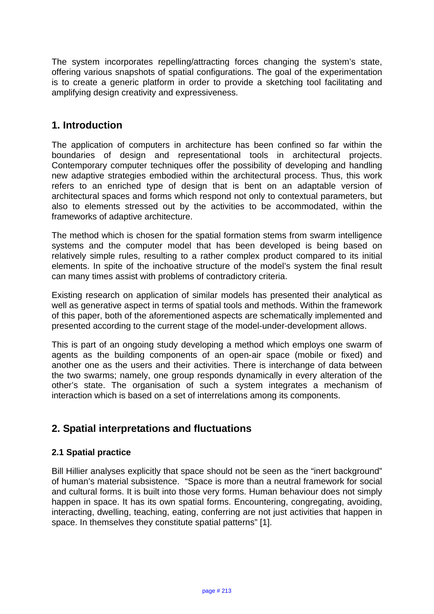The system incorporates repelling/attracting forces changing the system's state, offering various snapshots of spatial configurations. The goal of the experimentation is to create a generic platform in order to provide a sketching tool facilitating and amplifying design creativity and expressiveness.

## **1. Introduction**

The application of computers in architecture has been confined so far within the boundaries of design and representational tools in architectural projects. Contemporary computer techniques offer the possibility of developing and handling new adaptive strategies embodied within the architectural process. Thus, this work refers to an enriched type of design that is bent on an adaptable version of architectural spaces and forms which respond not only to contextual parameters, but also to elements stressed out by the activities to be accommodated, within the frameworks of adaptive architecture.

The method which is chosen for the spatial formation stems from swarm intelligence systems and the computer model that has been developed is being based on relatively simple rules, resulting to a rather complex product compared to its initial elements. In spite of the inchoative structure of the model's system the final result can many times assist with problems of contradictory criteria.

Existing research on application of similar models has presented their analytical as well as generative aspect in terms of spatial tools and methods. Within the framework of this paper, both of the aforementioned aspects are schematically implemented and presented according to the current stage of the model-under-development allows.

This is part of an ongoing study developing a method which employs one swarm of agents as the building components of an open-air space (mobile or fixed) and another one as the users and their activities. There is interchange of data between the two swarms; namely, one group responds dynamically in every alteration of the other's state. The organisation of such a system integrates a mechanism of interaction which is based on a set of interrelations among its components.

# **2. Spatial interpretations and fluctuations**

## **2.1 Spatial practice**

Bill Hillier analyses explicitly that space should not be seen as the "inert background" of human's material subsistence. "Space is more than a neutral framework for social and cultural forms. It is built into those very forms. Human behaviour does not simply happen in space. It has its own spatial forms. Encountering, congregating, avoiding, interacting, dwelling, teaching, eating, conferring are not just activities that happen in space. In themselves they constitute spatial patterns" [1].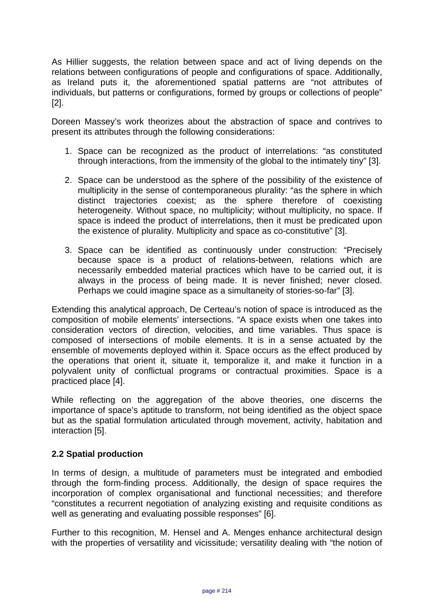As Hillier suggests, the relation between space and act of living depends on the relations between configurations of people and configurations of space. Additionally, as Ireland puts it, the aforementioned spatial patterns are "not attributes of individuals, but patterns or configurations, formed by groups or collections of people" [2].

Doreen Massey's work theorizes about the abstraction of space and contrives to present its attributes through the following considerations:

- 1. Space can be recognized as the product of interrelations: "as constituted through interactions, from the immensity of the global to the intimately tiny" [3].
- 2. Space can be understood as the sphere of the possibility of the existence of multiplicity in the sense of contemporaneous plurality: "as the sphere in which distinct trajectories coexist; as the sphere therefore of coexisting heterogeneity. Without space, no multiplicity; without multiplicity, no space. If space is indeed the product of interrelations, then it must be predicated upon the existence of plurality. Multiplicity and space as co-constitutive" [3].
- 3. Space can be identified as continuously under construction: "Precisely because space is a product of relations-between, relations which are necessarily embedded material practices which have to be carried out, it is always in the process of being made. It is never finished; never closed. Perhaps we could imagine space as a simultaneity of stories-so-far" [3].

Extending this analytical approach, De Certeau's notion of space is introduced as the composition of mobile elements' intersections. "A space exists when one takes into consideration vectors of direction, velocities, and time variables. Thus space is composed of intersections of mobile elements. It is in a sense actuated by the ensemble of movements deployed within it. Space occurs as the effect produced by the operations that orient it, situate it, temporalize it, and make it function in a polyvalent unity of conflictual programs or contractual proximities. Space is a practiced place [4].

While reflecting on the aggregation of the above theories, one discerns the importance of space's aptitude to transform, not being identified as the object space but as the spatial formulation articulated through movement, activity, habitation and interaction [5].

## **2.2 Spatial production**

In terms of design, a multitude of parameters must be integrated and embodied through the form-finding process. Additionally, the design of space requires the incorporation of complex organisational and functional necessities; and therefore "constitutes a recurrent negotiation of analyzing existing and requisite conditions as well as generating and evaluating possible responses" [6].

Further to this recognition, M. Hensel and A. Menges enhance architectural design with the properties of versatility and vicissitude; versatility dealing with "the notion of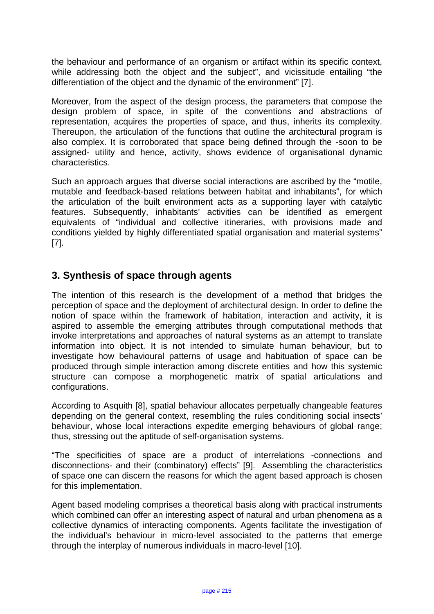the behaviour and performance of an organism or artifact within its specific context, while addressing both the object and the subject", and vicissitude entailing "the differentiation of the object and the dynamic of the environment" [7].

Moreover, from the aspect of the design process, the parameters that compose the design problem of space, in spite of the conventions and abstractions of representation, acquires the properties of space, and thus, inherits its complexity. Thereupon, the articulation of the functions that outline the architectural program is also complex. It is corroborated that space being defined through the -soon to be assigned- utility and hence, activity, shows evidence of organisational dynamic characteristics.

Such an approach argues that diverse social interactions are ascribed by the "motile, mutable and feedback-based relations between habitat and inhabitants", for which the articulation of the built environment acts as a supporting layer with catalytic features. Subsequently, inhabitants' activities can be identified as emergent equivalents of "individual and collective itineraries, with provisions made and conditions yielded by highly differentiated spatial organisation and material systems" [7].

# **3. Synthesis of space through agents**

The intention of this research is the development of a method that bridges the perception of space and the deployment of architectural design. In order to define the notion of space within the framework of habitation, interaction and activity, it is aspired to assemble the emerging attributes through computational methods that invoke interpretations and approaches of natural systems as an attempt to translate information into object. It is not intended to simulate human behaviour, but to investigate how behavioural patterns of usage and habituation of space can be produced through simple interaction among discrete entities and how this systemic structure can compose a morphogenetic matrix of spatial articulations and configurations.

According to Asquith [8], spatial behaviour allocates perpetually changeable features depending on the general context, resembling the rules conditioning social insects' behaviour, whose local interactions expedite emerging behaviours of global range; thus, stressing out the aptitude of self-organisation systems.

"The specificities of space are a product of interrelations -connections and disconnections- and their (combinatory) effects" [9]. Assembling the characteristics of space one can discern the reasons for which the agent based approach is chosen for this implementation.

Agent based modeling comprises a theoretical basis along with practical instruments which combined can offer an interesting aspect of natural and urban phenomena as a collective dynamics of interacting components. Agents facilitate the investigation of the individual's behaviour in micro-level associated to the patterns that emerge through the interplay of numerous individuals in macro-level [10].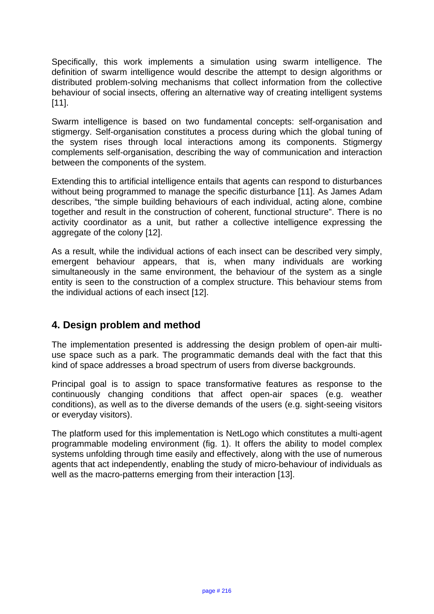Specifically, this work implements a simulation using swarm intelligence. The definition of swarm intelligence would describe the attempt to design algorithms or distributed problem-solving mechanisms that collect information from the collective behaviour of social insects, offering an alternative way of creating intelligent systems [11].

Swarm intelligence is based on two fundamental concepts: self-organisation and stigmergy. Self-organisation constitutes a process during which the global tuning of the system rises through local interactions among its components. Stigmergy complements self-organisation, describing the way of communication and interaction between the components of the system.

Extending this to artificial intelligence entails that agents can respond to disturbances without being programmed to manage the specific disturbance [11]. As James Adam describes, "the simple building behaviours of each individual, acting alone, combine together and result in the construction of coherent, functional structure". There is no activity coordinator as a unit, but rather a collective intelligence expressing the aggregate of the colony [12].

As a result, while the individual actions of each insect can be described very simply, emergent behaviour appears, that is, when many individuals are working simultaneously in the same environment, the behaviour of the system as a single entity is seen to the construction of a complex structure. This behaviour stems from the individual actions of each insect [12].

# **4. Design problem and method**

The implementation presented is addressing the design problem of open-air multiuse space such as a park. The programmatic demands deal with the fact that this kind of space addresses a broad spectrum of users from diverse backgrounds.

Principal goal is to assign to space transformative features as response to the continuously changing conditions that affect open-air spaces (e.g. weather conditions), as well as to the diverse demands of the users (e.g. sight-seeing visitors or everyday visitors).

The platform used for this implementation is NetLogo which constitutes a multi-agent programmable modeling environment (fig. 1). It offers the ability to model complex systems unfolding through time easily and effectively, along with the use of numerous agents that act independently, enabling the study of micro-behaviour of individuals as well as the macro-patterns emerging from their interaction [13].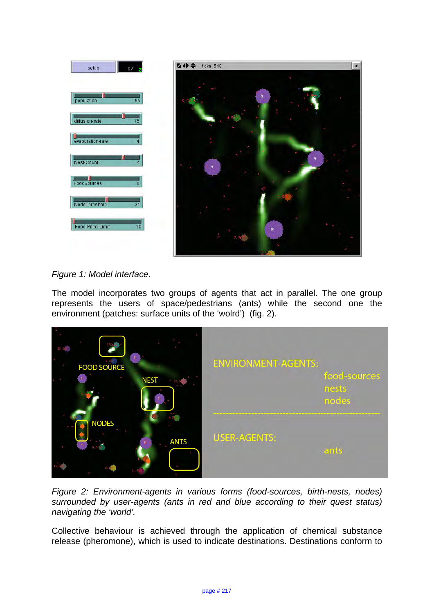

## *Figure 1: Model interface.*

The model incorporates two groups of agents that act in parallel. The one group represents the users of space/pedestrians (ants) while the second one the environment (patches: surface units of the 'wolrd') (fig. 2).



*Figure 2: Environment-agents in various forms (food-sources, birth-nests, nodes) surrounded by user-agents (ants in red and blue according to their quest status) navigating the 'world'.* 

Collective behaviour is achieved through the application of chemical substance release (pheromone), which is used to indicate destinations. Destinations conform to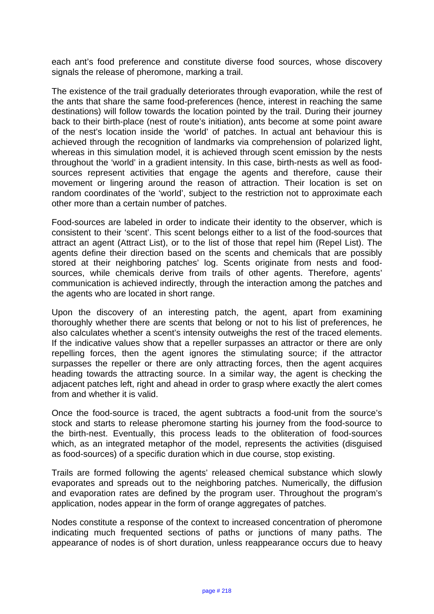each ant's food preference and constitute diverse food sources, whose discovery signals the release of pheromone, marking a trail.

The existence of the trail gradually deteriorates through evaporation, while the rest of the ants that share the same food-preferences (hence, interest in reaching the same destinations) will follow towards the location pointed by the trail. During their journey back to their birth-place (nest of route's initiation), ants become at some point aware of the nest's location inside the 'world' of patches. In actual ant behaviour this is achieved through the recognition of landmarks via comprehension of polarized light, whereas in this simulation model, it is achieved through scent emission by the nests throughout the 'world' in a gradient intensity. In this case, birth-nests as well as foodsources represent activities that engage the agents and therefore, cause their movement or lingering around the reason of attraction. Their location is set on random coordinates of the 'world', subject to the restriction not to approximate each other more than a certain number of patches.

Food-sources are labeled in order to indicate their identity to the observer, which is consistent to their 'scent'. This scent belongs either to a list of the food-sources that attract an agent (Attract List), or to the list of those that repel him (Repel List). The agents define their direction based on the scents and chemicals that are possibly stored at their neighboring patches' log. Scents originate from nests and foodsources, while chemicals derive from trails of other agents. Therefore, agents' communication is achieved indirectly, through the interaction among the patches and the agents who are located in short range.

Upon the discovery of an interesting patch, the agent, apart from examining thoroughly whether there are scents that belong or not to his list of preferences, he also calculates whether a scent's intensity outweighs the rest of the traced elements. If the indicative values show that a repeller surpasses an attractor or there are only repelling forces, then the agent ignores the stimulating source; if the attractor surpasses the repeller or there are only attracting forces, then the agent acquires heading towards the attracting source. In a similar way, the agent is checking the adjacent patches left, right and ahead in order to grasp where exactly the alert comes from and whether it is valid.

Once the food-source is traced, the agent subtracts a food-unit from the source's stock and starts to release pheromone starting his journey from the food-source to the birth-nest. Eventually, this process leads to the obliteration of food-sources which, as an integrated metaphor of the model, represents the activities (disguised as food-sources) of a specific duration which in due course, stop existing.

Trails are formed following the agents' released chemical substance which slowly evaporates and spreads out to the neighboring patches. Numerically, the diffusion and evaporation rates are defined by the program user. Throughout the program's application, nodes appear in the form of orange aggregates of patches.

Nodes constitute a response of the context to increased concentration of pheromone indicating much frequented sections of paths or junctions of many paths. The appearance of nodes is of short duration, unless reappearance occurs due to heavy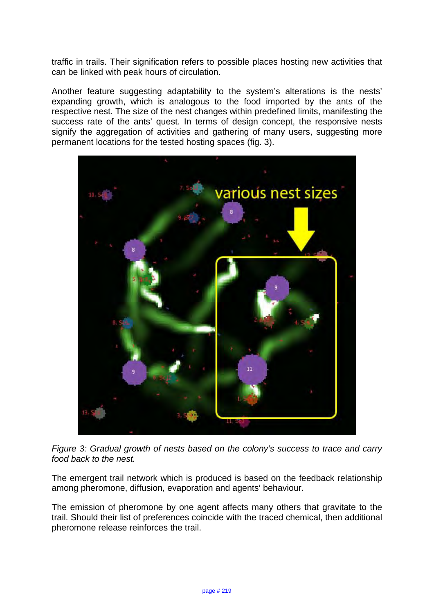traffic in trails. Their signification refers to possible places hosting new activities that can be linked with peak hours of circulation.

Another feature suggesting adaptability to the system's alterations is the nests' expanding growth, which is analogous to the food imported by the ants of the respective nest. The size of the nest changes within predefined limits, manifesting the success rate of the ants' quest. In terms of design concept, the responsive nests signify the aggregation of activities and gathering of many users, suggesting more permanent locations for the tested hosting spaces (fig. 3).



*Figure 3: Gradual growth of nests based on the colony's success to trace and carry food back to the nest.*

The emergent trail network which is produced is based on the feedback relationship among pheromone, diffusion, evaporation and agents' behaviour.

The emission of pheromone by one agent affects many others that gravitate to the trail. Should their list of preferences coincide with the traced chemical, then additional pheromone release reinforces the trail.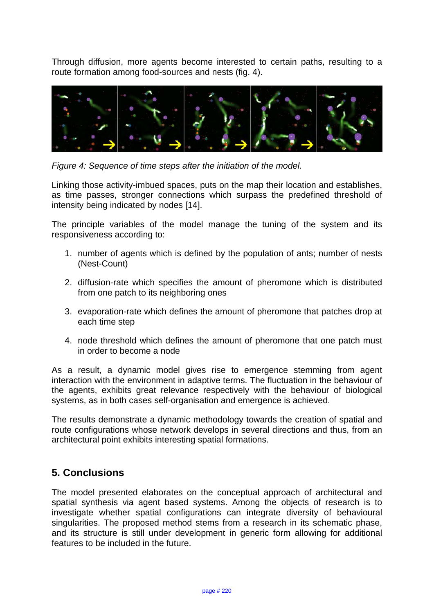Through diffusion, more agents become interested to certain paths, resulting to a route formation among food-sources and nests (fig. 4).



*Figure 4: Sequence of time steps after the initiation of the model.* 

Linking those activity-imbued spaces, puts on the map their location and establishes, as time passes, stronger connections which surpass the predefined threshold of intensity being indicated by nodes [14].

The principle variables of the model manage the tuning of the system and its responsiveness according to:

- 1. number of agents which is defined by the population of ants; number of nests (Nest-Count)
- 2. diffusion-rate which specifies the amount of pheromone which is distributed from one patch to its neighboring ones
- 3. evaporation-rate which defines the amount of pheromone that patches drop at each time step
- 4. node threshold which defines the amount of pheromone that one patch must in order to become a node

As a result, a dynamic model gives rise to emergence stemming from agent interaction with the environment in adaptive terms. The fluctuation in the behaviour of the agents, exhibits great relevance respectively with the behaviour of biological systems, as in both cases self-organisation and emergence is achieved.

The results demonstrate a dynamic methodology towards the creation of spatial and route configurations whose network develops in several directions and thus, from an architectural point exhibits interesting spatial formations.

# **5. Conclusions**

The model presented elaborates on the conceptual approach of architectural and spatial synthesis via agent based systems. Among the objects of research is to investigate whether spatial configurations can integrate diversity of behavioural singularities. The proposed method stems from a research in its schematic phase, and its structure is still under development in generic form allowing for additional features to be included in the future.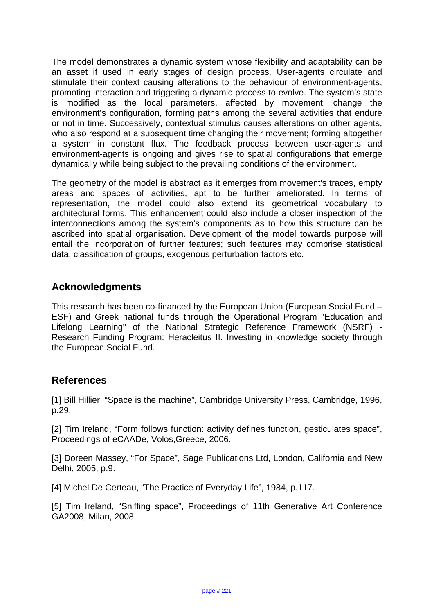The model demonstrates a dynamic system whose flexibility and adaptability can be an asset if used in early stages of design process. User-agents circulate and stimulate their context causing alterations to the behaviour of environment-agents, promoting interaction and triggering a dynamic process to evolve. The system's state is modified as the local parameters, affected by movement, change the environment's configuration, forming paths among the several activities that endure or not in time. Successively, contextual stimulus causes alterations on other agents, who also respond at a subsequent time changing their movement; forming altogether a system in constant flux. The feedback process between user-agents and environment-agents is ongoing and gives rise to spatial configurations that emerge dynamically while being subject to the prevailing conditions of the environment.

The geometry of the model is abstract as it emerges from movement's traces, empty areas and spaces of activities, apt to be further ameliorated. In terms of representation, the model could also extend its geometrical vocabulary to architectural forms. This enhancement could also include a closer inspection of the interconnections among the system's components as to how this structure can be ascribed into spatial organisation. Development of the model towards purpose will entail the incorporation of further features; such features may comprise statistical data, classification of groups, exogenous perturbation factors etc.

# **Acknowledgments**

This research has been co-financed by the European Union (European Social Fund – ESF) and Greek national funds through the Operational Program "Education and Lifelong Learning" of the National Strategic Reference Framework (NSRF) - Research Funding Program: Heracleitus II. Investing in knowledge society through the European Social Fund.

## **References**

[1] Bill Hillier, "Space is the machine", Cambridge University Press, Cambridge, 1996, p.29.

[2] Tim Ireland, "Form follows function: activity defines function, gesticulates space", Proceedings of eCAADe, Volos,Greece, 2006.

[3] Doreen Massey, "For Space", Sage Publications Ltd, London, California and New Delhi, 2005, p.9.

[4] Michel De Certeau, "The Practice of Everyday Life", 1984, p.117.

[5] Tim Ireland, "Sniffing space", Proceedings of 11th Generative Art Conference GA2008, Milan, 2008.